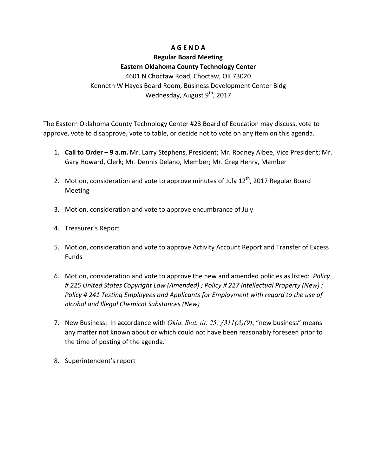## **A G E N D A**

## **Regular Board Meeting Eastern Oklahoma County Technology Center**

4601 N Choctaw Road, Choctaw, OK 73020 Kenneth W Hayes Board Room, Business Development Center Bldg Wednesday, August 9<sup>th</sup>, 2017

The Eastern Oklahoma County Technology Center #23 Board of Education may discuss, vote to approve, vote to disapprove, vote to table, or decide not to vote on any item on this agenda.

- 1. **Call to Order 9 a.m.** Mr. Larry Stephens, President; Mr. Rodney Albee, Vice President; Mr. Gary Howard, Clerk; Mr. Dennis Delano, Member; Mr. Greg Henry, Member
- 2. Motion, consideration and vote to approve minutes of July  $12<sup>th</sup>$ , 2017 Regular Board **Meeting**
- 3. Motion, consideration and vote to approve encumbrance of July
- 4. Treasurer's Report
- 5. Motion, consideration and vote to approve Activity Account Report and Transfer of Excess Funds
- 6. Motion, consideration and vote to approve the new and amended policies as listed: *Policy* # 225 United States Copyright Law (Amended) ; Policy # 227 Intellectual Property (New) ; *Policy* # 241 Testing Employees and Applicants for Employment with regard to the use of *alcohol and Illegal Chemical Substances (New)*
- 7. New Business: In accordance with *Okla. Stat. tit. 25, §311(A)(9)*, "new business" means any matter not known about or which could not have been reasonably foreseen prior to the time of posting of the agenda.
- 8. Superintendent's report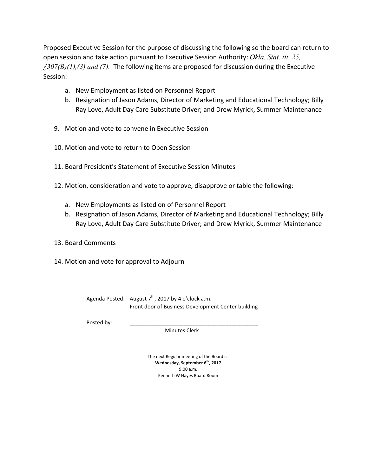Proposed Executive Session for the purpose of discussing the following so the board can return to open session and take action pursuant to Executive Session Authority: Okla. Stat. tit. 25,  $\frac{\delta}{\delta}$ 307(B)(1),(3) and (7). The following items are proposed for discussion during the Executive Session:

- a. New Employment as listed on Personnel Report
- b. Resignation of Jason Adams, Director of Marketing and Educational Technology; Billy Ray Love, Adult Day Care Substitute Driver; and Drew Myrick, Summer Maintenance
- 9. Motion and vote to convene in Executive Session
- 10. Motion and vote to return to Open Session
- 11. Board President's Statement of Executive Session Minutes
- 12. Motion, consideration and vote to approve, disapprove or table the following:
	- a. New Employments as listed on of Personnel Report
	- b. Resignation of Jason Adams, Director of Marketing and Educational Technology; Billy Ray Love, Adult Day Care Substitute Driver; and Drew Myrick, Summer Maintenance
- 13. Board Comments
- 14. Motion and vote for approval to Adjourn

Agenda Posted: August  $7^{th}$ , 2017 by 4 o'clock a.m. Front door of Business Development Center building

Posted by:

 Minutes Clerk

The next Regular meeting of the Board is: **Wednesday, September 6th, 2017** 9:00 a.m. Kenneth W Hayes Board Room